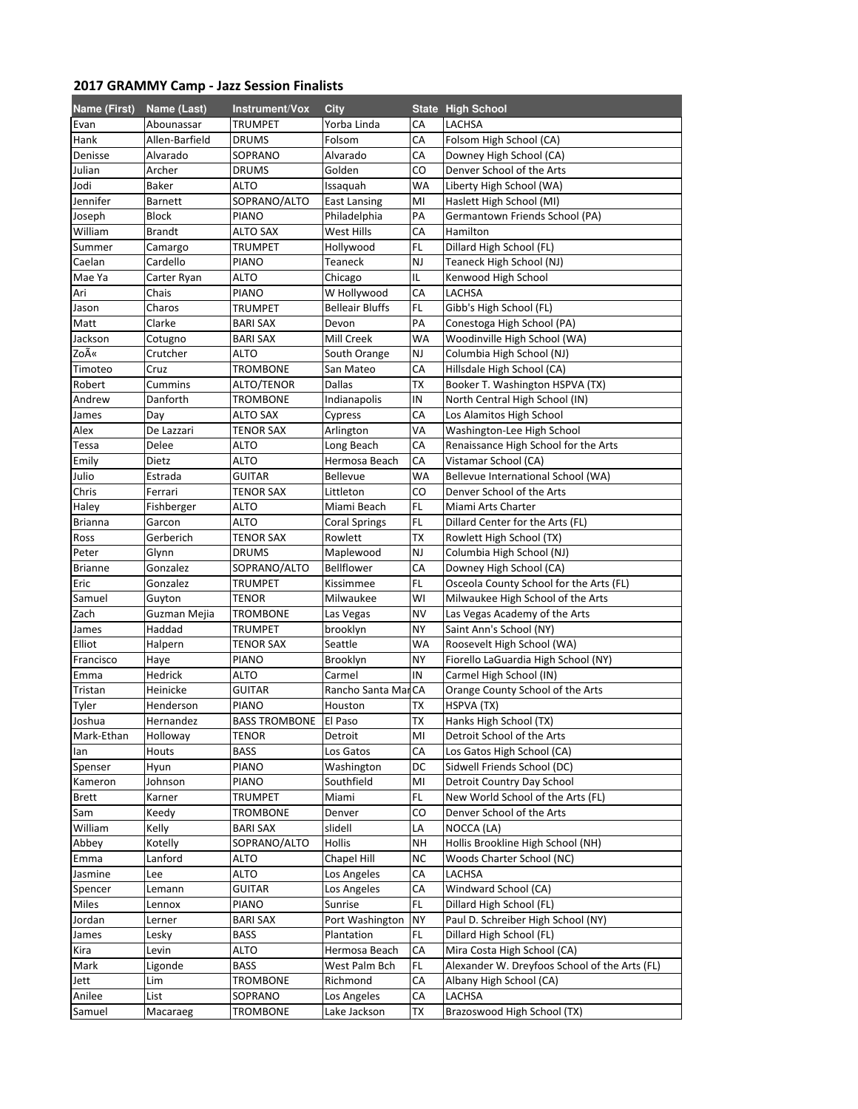## 2017 GRAMMY Camp - Jazz Session Finalists

| Name (First)   | Name (Last)         | Instrument/Vox       | City                   |           | <b>State High School</b>                      |
|----------------|---------------------|----------------------|------------------------|-----------|-----------------------------------------------|
| Evan           | Abounassar          | TRUMPET              | Yorba Linda            | СA        | LACHSA                                        |
| Hank           | Allen-Barfield      | <b>DRUMS</b>         | Folsom                 | СA        | Folsom High School (CA)                       |
| Denisse        | Alvarado            | SOPRANO              | Alvarado               | СA        | Downey High School (CA)                       |
| Julian         | Archer              | <b>DRUMS</b>         | Golden                 | CO        | Denver School of the Arts                     |
| Jodi           | Baker               | ALTO                 | Issaquah               | WA        | Liberty High School (WA)                      |
| Jennifer       | <b>Barnett</b>      | SOPRANO/ALTO         | <b>East Lansing</b>    | MI        | Haslett High School (MI)                      |
| Joseph         | <b>Block</b>        | <b>PIANO</b>         | Philadelphia           | PA        | Germantown Friends School (PA)                |
| William        | <b>Brandt</b>       | ALTO SAX             | West Hills             | СA        | Hamilton                                      |
| Summer         | Camargo             | TRUMPET              | Hollywood              | FL.       | Dillard High School (FL)                      |
| Caelan         | Cardello            | <b>PIANO</b>         | Teaneck                | NJ        | Teaneck High School (NJ)                      |
| Mae Ya         | Carter Ryan         | ALTO                 | Chicago                | IL        | Kenwood High School                           |
| Ari            | Chais               | PIANO                | W Hollywood            | СA        | LACHSA                                        |
| Jason          | Charos              | TRUMPET              | <b>Belleair Bluffs</b> | FL        | Gibb's High School (FL)                       |
| Matt           | Clarke              | <b>BARI SAX</b>      | Devon                  | PA        | Conestoga High School (PA)                    |
| Jackson        |                     | <b>BARI SAX</b>      | Mill Creek             | WA        | Woodinville High School (WA)                  |
| Zoë            | Cotugno<br>Crutcher | ALTO                 |                        | NJ        |                                               |
|                |                     |                      | South Orange           |           | Columbia High School (NJ)                     |
| Timoteo        | Cruz                | <b>TROMBONE</b>      | San Mateo              | СA        | Hillsdale High School (CA)                    |
| Robert         | Cummins             | ALTO/TENOR           | Dallas                 | ТX        | Booker T. Washington HSPVA (TX)               |
| Andrew         | Danforth            | <b>TROMBONE</b>      | Indianapolis           | IN        | North Central High School (IN)                |
| James          | Day                 | <b>ALTO SAX</b>      | Cypress                | СA        | Los Alamitos High School                      |
| Alex           | De Lazzari          | TENOR SAX            | Arlington              | VA        | Washington-Lee High School                    |
| Tessa          | Delee               | ALTO                 | Long Beach             | СA        | Renaissance High School for the Arts          |
| Emily          | Dietz               | ALTO                 | Hermosa Beach          | СA        | Vistamar School (CA)                          |
| Julio          | Estrada             | <b>GUITAR</b>        | <b>Bellevue</b>        | WA        | Bellevue International School (WA)            |
| Chris          | Ferrari             | <b>TENOR SAX</b>     | Littleton              | CO        | Denver School of the Arts                     |
| Haley          | Fishberger          | ALTO                 | Miami Beach            | FL        | Miami Arts Charter                            |
| <b>Brianna</b> | Garcon              | <b>ALTO</b>          | <b>Coral Springs</b>   | FL.       | Dillard Center for the Arts (FL)              |
| Ross           | Gerberich           | <b>TENOR SAX</b>     | Rowlett                | ТX        | Rowlett High School (TX)                      |
| Peter          | Glynn               | <b>DRUMS</b>         | Maplewood              | NJ        | Columbia High School (NJ)                     |
| <b>Brianne</b> | Gonzalez            | SOPRANO/ALTO         | Bellflower             | СA        | Downey High School (CA)                       |
| Eric           | Gonzalez            | TRUMPET              | Kissimmee              | FL        | Osceola County School for the Arts (FL)       |
| Samuel         | Guyton              | <b>TENOR</b>         | Milwaukee              | WI        | Milwaukee High School of the Arts             |
| Zach           | Guzman Mejia        | TROMBONE             | Las Vegas              | NV        | Las Vegas Academy of the Arts                 |
| James          | Haddad              | TRUMPET              | brooklyn               | NΥ        | Saint Ann's School (NY)                       |
| Elliot         | Halpern             | <b>TENOR SAX</b>     | Seattle                | WA        | Roosevelt High School (WA)                    |
| Francisco      | Haye                | <b>PIANO</b>         | Brooklyn               | NY        | Fiorello LaGuardia High School (NY)           |
| Emma           | Hedrick             | <b>ALTO</b>          | Carmel                 | IN        | Carmel High School (IN)                       |
| Tristan        | Heinicke            | <b>GUITAR</b>        | Rancho Santa MarCA     |           | Orange County School of the Arts              |
| Tyler          | Henderson           | <b>PIANO</b>         | Houston                | ТX        | HSPVA (TX)                                    |
| Joshua         | Hernandez           | <b>BASS TROMBONE</b> | <b>El Paso</b>         | <b>TX</b> | Hanks High School (TX)                        |
| Mark-Ethan     | Holloway            | TENOR                | Detroit                | MI        | Detroit School of the Arts                    |
| lan            | Houts               | BASS                 | Los Gatos              | СA        | Los Gatos High School (CA)                    |
| Spenser        | Hyun                | <b>PIANO</b>         | Washington             | DC        | Sidwell Friends School (DC)                   |
| Kameron        | Johnson             | PIANO                | Southfield             | MI        | Detroit Country Day School                    |
| Brett          | Karner              | TRUMPET              | Miami                  | FL        | New World School of the Arts (FL)             |
| Sam            | Keedy               | <b>TROMBONE</b>      | Denver                 | CO        | Denver School of the Arts                     |
| William        | Kelly               | <b>BARI SAX</b>      | slidell                | LA        | NOCCA (LA)                                    |
| Abbey          | Kotelly             | SOPRANO/ALTO         | Hollis                 | NΗ        | Hollis Brookline High School (NH)             |
| Emma           | Lanford             | ALTO                 | Chapel Hill            | <b>NC</b> | Woods Charter School (NC)                     |
| Jasmine        | Lee                 | ALTO                 | Los Angeles            | СA        | LACHSA                                        |
| Spencer        | Lemann              | GUITAR               | Los Angeles            | СA        | Windward School (CA)                          |
| Miles          | Lennox              | PIANO                | Sunrise                | FL        | Dillard High School (FL)                      |
| Jordan         | Lerner              | <b>BARI SAX</b>      | Port Washington        | <b>NY</b> | Paul D. Schreiber High School (NY)            |
| James          | Lesky               | <b>BASS</b>          | Plantation             | FL        | Dillard High School (FL)                      |
| Kira           | Levin               | ALTO                 | Hermosa Beach          | CA        | Mira Costa High School (CA)                   |
| Mark           | Ligonde             | BASS                 | West Palm Bch          | FL        | Alexander W. Dreyfoos School of the Arts (FL) |
| Jett           | Lim                 | TROMBONE             | Richmond               | CA        | Albany High School (CA)                       |
| Anilee         | List                | SOPRANO              | Los Angeles            | СA        | LACHSA                                        |
| Samuel         | Macaraeg            | <b>TROMBONE</b>      | Lake Jackson           | TX        | Brazoswood High School (TX)                   |
|                |                     |                      |                        |           |                                               |